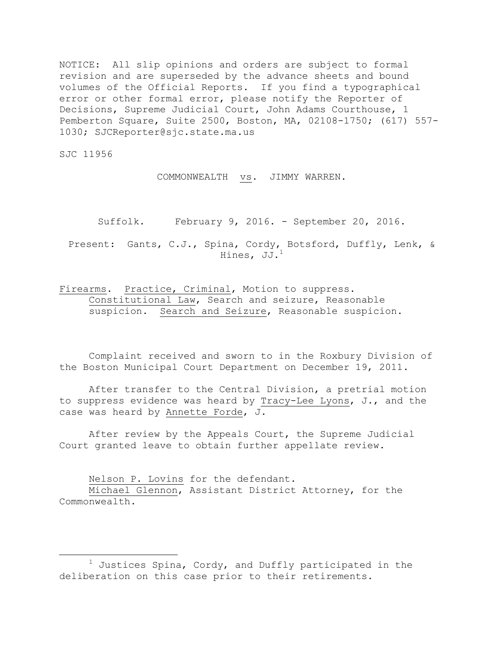NOTICE: All slip opinions and orders are subject to formal revision and are superseded by the advance sheets and bound volumes of the Official Reports. If you find a typographical error or other formal error, please notify the Reporter of Decisions, Supreme Judicial Court, John Adams Courthouse, 1 Pemberton Square, Suite 2500, Boston, MA, 02108-1750; (617) 557- 1030; SJCReporter@sjc.state.ma.us

SJC 11956

 $\overline{a}$ 

COMMONWEALTH vs. JIMMY WARREN.

Suffolk. February 9, 2016. - September 20, 2016.

Present: Gants, C.J., Spina, Cordy, Botsford, Duffly, Lenk, & Hines, JJ.<sup>1</sup>

Firearms. Practice, Criminal, Motion to suppress. Constitutional Law, Search and seizure, Reasonable suspicion. Search and Seizure, Reasonable suspicion.

Complaint received and sworn to in the Roxbury Division of the Boston Municipal Court Department on December 19, 2011.

After transfer to the Central Division, a pretrial motion to suppress evidence was heard by Tracy-Lee Lyons, J., and the case was heard by Annette Forde, J.

After review by the Appeals Court, the Supreme Judicial Court granted leave to obtain further appellate review.

Nelson P. Lovins for the defendant.

Michael Glennon, Assistant District Attorney, for the Commonwealth.

 $1$  Justices Spina, Cordy, and Duffly participated in the deliberation on this case prior to their retirements.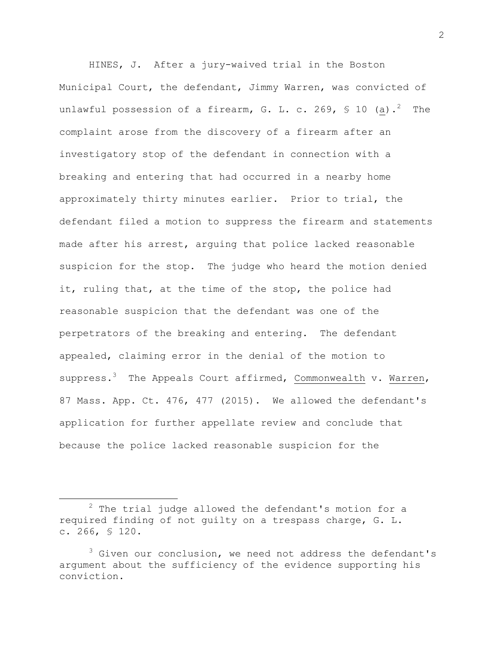HINES, J. After a jury-waived trial in the Boston Municipal Court, the defendant, Jimmy Warren, was convicted of unlawful possession of a firearm, G. L. c. 269, § 10 (a).<sup>2</sup> The complaint arose from the discovery of a firearm after an investigatory stop of the defendant in connection with a breaking and entering that had occurred in a nearby home approximately thirty minutes earlier. Prior to trial, the defendant filed a motion to suppress the firearm and statements made after his arrest, arguing that police lacked reasonable suspicion for the stop. The judge who heard the motion denied it, ruling that, at the time of the stop, the police had reasonable suspicion that the defendant was one of the perpetrators of the breaking and entering. The defendant appealed, claiming error in the denial of the motion to suppress.<sup>3</sup> The Appeals Court affirmed, Commonwealth v. Warren, 87 Mass. App. Ct. 476, 477 (2015). We allowed the defendant's application for further appellate review and conclude that because the police lacked reasonable suspicion for the

 $2$  The trial judge allowed the defendant's motion for a required finding of not guilty on a trespass charge, G. L. c. 266, § 120.

 $3$  Given our conclusion, we need not address the defendant's argument about the sufficiency of the evidence supporting his conviction.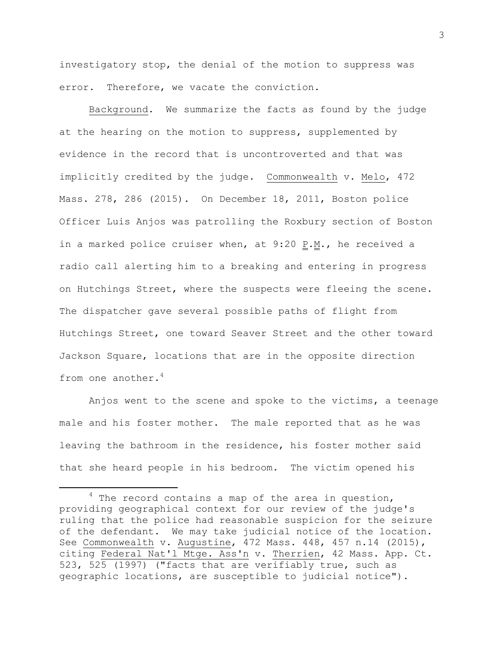investigatory stop, the denial of the motion to suppress was error. Therefore, we vacate the conviction.

Background. We summarize the facts as found by the judge at the hearing on the motion to suppress, supplemented by evidence in the record that is uncontroverted and that was implicitly credited by the judge. Commonwealth v. Melo, 472 Mass. 278, 286 (2015). On December 18, 2011, Boston police Officer Luis Anjos was patrolling the Roxbury section of Boston in a marked police cruiser when, at  $9:20$   $\underline{P.M.}$ , he received a radio call alerting him to a breaking and entering in progress on Hutchings Street, where the suspects were fleeing the scene. The dispatcher gave several possible paths of flight from Hutchings Street, one toward Seaver Street and the other toward Jackson Square, locations that are in the opposite direction from one another.<sup>4</sup>

Anjos went to the scene and spoke to the victims, a teenage male and his foster mother. The male reported that as he was leaving the bathroom in the residence, his foster mother said that she heard people in his bedroom. The victim opened his

 $\overline{\phantom{a}}$ 

 $4$  The record contains a map of the area in question, providing geographical context for our review of the judge's ruling that the police had reasonable suspicion for the seizure of the defendant. We may take judicial notice of the location. See Commonwealth v. Augustine, 472 Mass. 448, 457 n.14 (2015), citing Federal Nat'l Mtge. Ass'n v. Therrien, 42 Mass. App. Ct. 523, 525 (1997) ("facts that are verifiably true, such as geographic locations, are susceptible to judicial notice").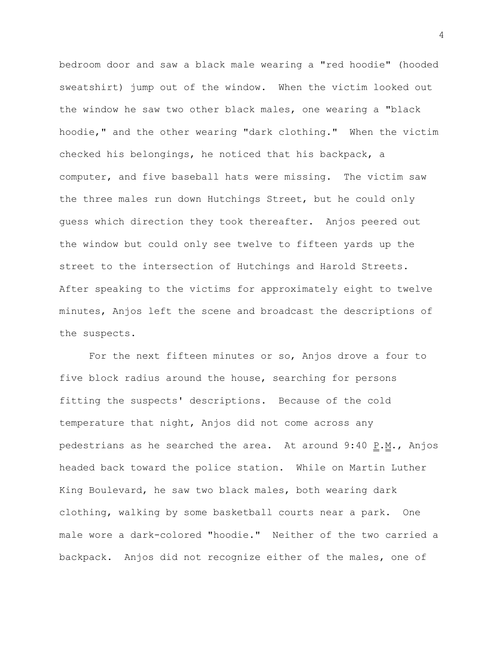bedroom door and saw a black male wearing a "red hoodie" (hooded sweatshirt) jump out of the window. When the victim looked out the window he saw two other black males, one wearing a "black hoodie," and the other wearing "dark clothing." When the victim checked his belongings, he noticed that his backpack, a computer, and five baseball hats were missing. The victim saw the three males run down Hutchings Street, but he could only guess which direction they took thereafter. Anjos peered out the window but could only see twelve to fifteen yards up the street to the intersection of Hutchings and Harold Streets. After speaking to the victims for approximately eight to twelve minutes, Anjos left the scene and broadcast the descriptions of the suspects.

For the next fifteen minutes or so, Anjos drove a four to five block radius around the house, searching for persons fitting the suspects' descriptions. Because of the cold temperature that night, Anjos did not come across any pedestrians as he searched the area. At around  $9:40$   $P.M.$ , Anjos headed back toward the police station. While on Martin Luther King Boulevard, he saw two black males, both wearing dark clothing, walking by some basketball courts near a park. One male wore a dark-colored "hoodie." Neither of the two carried a backpack. Anjos did not recognize either of the males, one of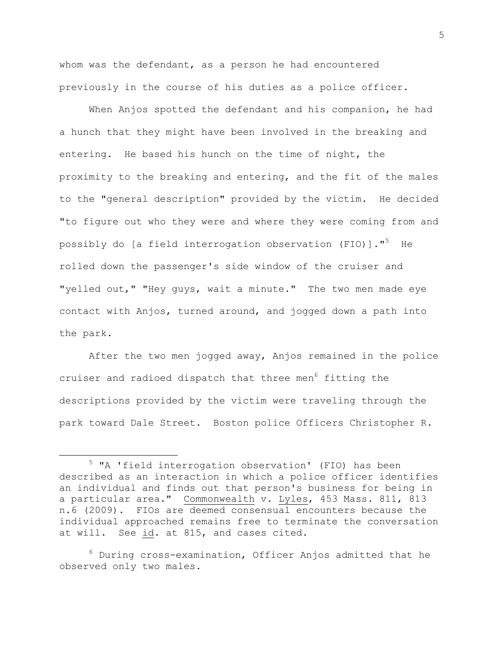whom was the defendant, as a person he had encountered previously in the course of his duties as a police officer.

When Anjos spotted the defendant and his companion, he had a hunch that they might have been involved in the breaking and entering. He based his hunch on the time of night, the proximity to the breaking and entering, and the fit of the males to the "general description" provided by the victim. He decided "to figure out who they were and where they were coming from and possibly do [a field interrogation observation (FIO)]." <sup>5</sup> He rolled down the passenger's side window of the cruiser and "yelled out," "Hey guys, wait a minute." The two men made eye contact with Anjos, turned around, and jogged down a path into the park.

After the two men jogged away, Anjos remained in the police cruiser and radioed dispatch that three men<sup>6</sup> fitting the descriptions provided by the victim were traveling through the park toward Dale Street. Boston police Officers Christopher R.

 $\overline{\phantom{a}}$ 

 $^6$  During cross-examination, Officer Anjos admitted that he observed only two males.

<sup>5</sup> "A 'field interrogation observation' (FIO) has been described as an interaction in which a police officer identifies an individual and finds out that person's business for being in a particular area." Commonwealth v. Lyles, 453 Mass. 811, 813 n.6 (2009). FIOs are deemed consensual encounters because the individual approached remains free to terminate the conversation at will. See id. at 815, and cases cited.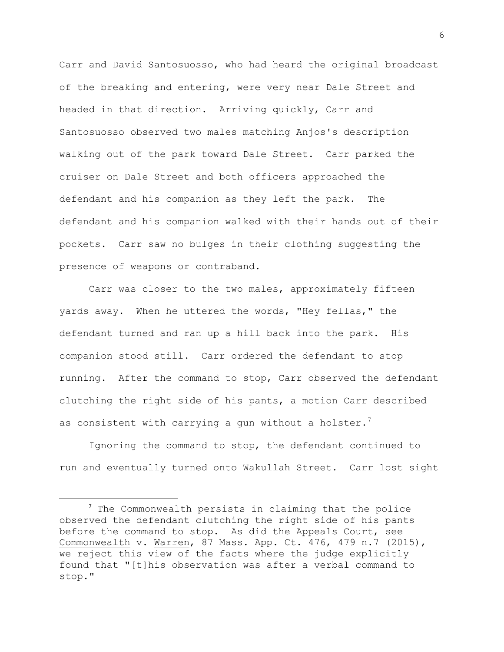Carr and David Santosuosso, who had heard the original broadcast of the breaking and entering, were very near Dale Street and headed in that direction. Arriving quickly, Carr and Santosuosso observed two males matching Anjos's description walking out of the park toward Dale Street. Carr parked the cruiser on Dale Street and both officers approached the defendant and his companion as they left the park. The defendant and his companion walked with their hands out of their pockets. Carr saw no bulges in their clothing suggesting the presence of weapons or contraband.

Carr was closer to the two males, approximately fifteen yards away. When he uttered the words, "Hey fellas," the defendant turned and ran up a hill back into the park. His companion stood still. Carr ordered the defendant to stop running. After the command to stop, Carr observed the defendant clutching the right side of his pants, a motion Carr described as consistent with carrying a gun without a holster.

Ignoring the command to stop, the defendant continued to run and eventually turned onto Wakullah Street. Carr lost sight

<sup>&</sup>lt;sup>7</sup> The Commonwealth persists in claiming that the police observed the defendant clutching the right side of his pants before the command to stop. As did the Appeals Court, see Commonwealth v. Warren, 87 Mass. App. Ct. 476, 479 n.7 (2015), we reject this view of the facts where the judge explicitly found that "[t]his observation was after a verbal command to stop."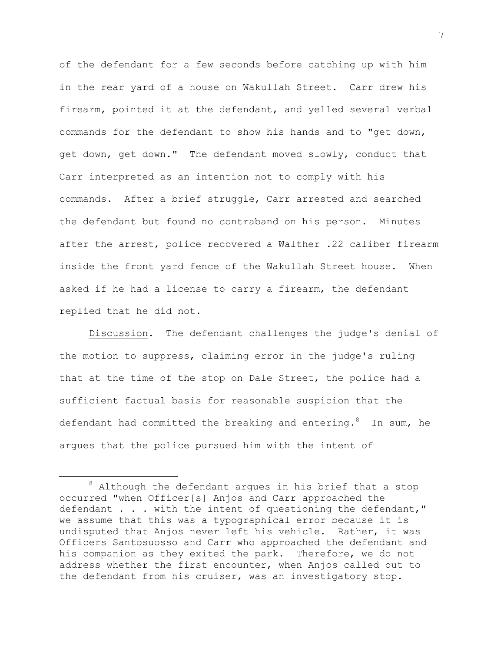of the defendant for a few seconds before catching up with him in the rear yard of a house on Wakullah Street. Carr drew his firearm, pointed it at the defendant, and yelled several verbal commands for the defendant to show his hands and to "get down, get down, get down." The defendant moved slowly, conduct that Carr interpreted as an intention not to comply with his commands. After a brief struggle, Carr arrested and searched the defendant but found no contraband on his person. Minutes after the arrest, police recovered a Walther .22 caliber firearm inside the front yard fence of the Wakullah Street house. When asked if he had a license to carry a firearm, the defendant replied that he did not.

Discussion. The defendant challenges the judge's denial of the motion to suppress, claiming error in the judge's ruling that at the time of the stop on Dale Street, the police had a sufficient factual basis for reasonable suspicion that the defendant had committed the breaking and entering.  $8$  In sum, he argues that the police pursued him with the intent of

l

 $8$  Although the defendant argues in his brief that a stop occurred "when Officer[s] Anjos and Carr approached the defendant . . . with the intent of questioning the defendant," we assume that this was a typographical error because it is undisputed that Anjos never left his vehicle. Rather, it was Officers Santosuosso and Carr who approached the defendant and his companion as they exited the park. Therefore, we do not address whether the first encounter, when Anjos called out to the defendant from his cruiser, was an investigatory stop.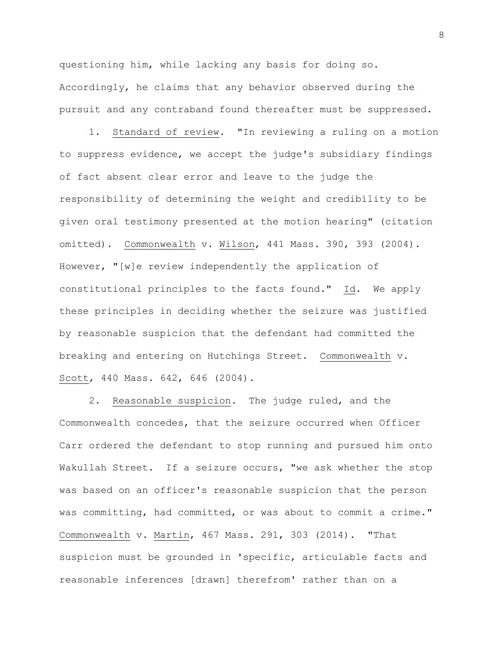questioning him, while lacking any basis for doing so. Accordingly, he claims that any behavior observed during the pursuit and any contraband found thereafter must be suppressed.

1. Standard of review. "In reviewing a ruling on a motion to suppress evidence, we accept the judge's subsidiary findings of fact absent clear error and leave to the judge the responsibility of determining the weight and credibility to be given oral testimony presented at the motion hearing" (citation omitted). Commonwealth v. Wilson, 441 Mass. 390, 393 (2004). However, "[w]e review independently the application of constitutional principles to the facts found." Id. We apply these principles in deciding whether the seizure was justified by reasonable suspicion that the defendant had committed the breaking and entering on Hutchings Street. Commonwealth v. Scott, 440 Mass. 642, 646 (2004).

2. Reasonable suspicion. The judge ruled, and the Commonwealth concedes, that the seizure occurred when Officer Carr ordered the defendant to stop running and pursued him onto Wakullah Street. If a seizure occurs, "we ask whether the stop was based on an officer's reasonable suspicion that the person was committing, had committed, or was about to commit a crime." Commonwealth v. Martin, 467 Mass. 291, 303 (2014). "That suspicion must be grounded in 'specific, articulable facts and reasonable inferences [drawn] therefrom' rather than on a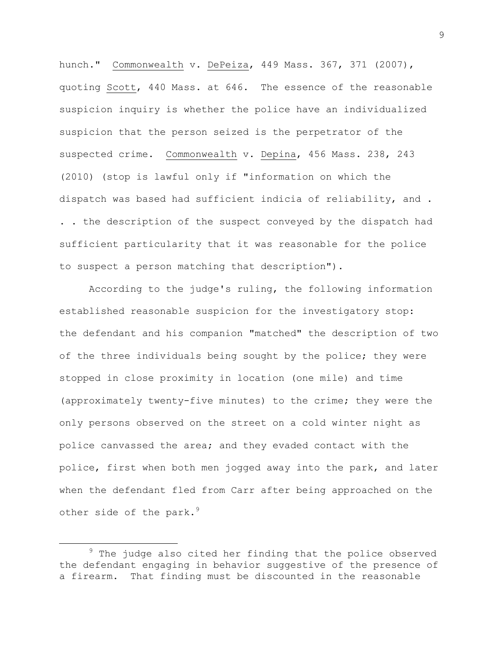hunch." Commonwealth v. DePeiza, 449 Mass. 367, 371 (2007), quoting Scott, 440 Mass. at 646. The essence of the reasonable suspicion inquiry is whether the police have an individualized suspicion that the person seized is the perpetrator of the suspected crime. Commonwealth v. Depina, 456 Mass. 238, 243 (2010) (stop is lawful only if "information on which the dispatch was based had sufficient indicia of reliability, and . . . the description of the suspect conveyed by the dispatch had sufficient particularity that it was reasonable for the police to suspect a person matching that description").

According to the judge's ruling, the following information established reasonable suspicion for the investigatory stop: the defendant and his companion "matched" the description of two of the three individuals being sought by the police; they were stopped in close proximity in location (one mile) and time (approximately twenty-five minutes) to the crime; they were the only persons observed on the street on a cold winter night as police canvassed the area; and they evaded contact with the police, first when both men jogged away into the park, and later when the defendant fled from Carr after being approached on the other side of the park.<sup>9</sup>

 $9$  The judge also cited her finding that the police observed the defendant engaging in behavior suggestive of the presence of a firearm. That finding must be discounted in the reasonable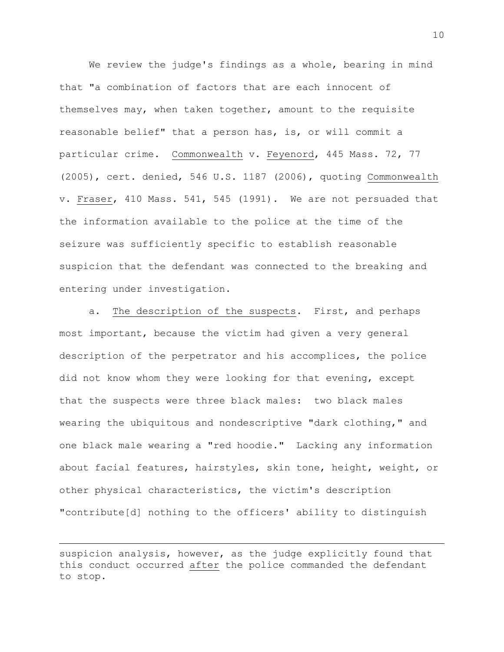We review the judge's findings as a whole, bearing in mind that "a combination of factors that are each innocent of themselves may, when taken together, amount to the requisite reasonable belief" that a person has, is, or will commit a particular crime. Commonwealth v. Feyenord, 445 Mass. 72, 77 (2005), cert. denied, 546 U.S. 1187 (2006), quoting Commonwealth v. Fraser, 410 Mass. 541, 545 (1991). We are not persuaded that the information available to the police at the time of the seizure was sufficiently specific to establish reasonable suspicion that the defendant was connected to the breaking and entering under investigation.

a. The description of the suspects. First, and perhaps most important, because the victim had given a very general description of the perpetrator and his accomplices, the police did not know whom they were looking for that evening, except that the suspects were three black males: two black males wearing the ubiquitous and nondescriptive "dark clothing," and one black male wearing a "red hoodie." Lacking any information about facial features, hairstyles, skin tone, height, weight, or other physical characteristics, the victim's description "contribute[d] nothing to the officers' ability to distinguish

suspicion analysis, however, as the judge explicitly found that this conduct occurred after the police commanded the defendant to stop.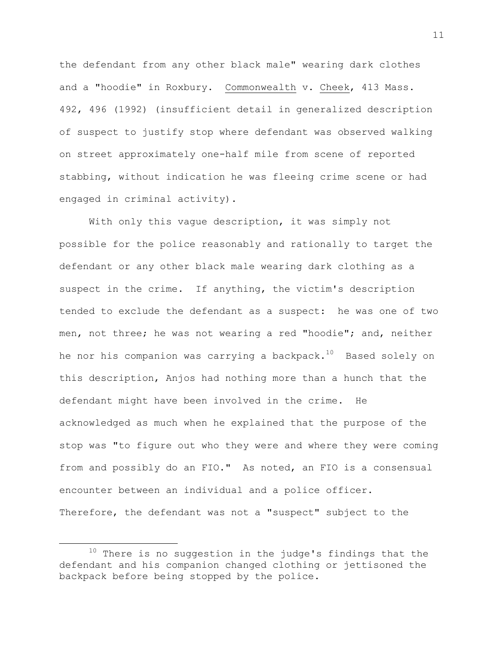the defendant from any other black male" wearing dark clothes and a "hoodie" in Roxbury. Commonwealth v. Cheek, 413 Mass. 492, 496 (1992) (insufficient detail in generalized description of suspect to justify stop where defendant was observed walking on street approximately one-half mile from scene of reported stabbing, without indication he was fleeing crime scene or had engaged in criminal activity).

With only this vague description, it was simply not possible for the police reasonably and rationally to target the defendant or any other black male wearing dark clothing as a suspect in the crime. If anything, the victim's description tended to exclude the defendant as a suspect: he was one of two men, not three; he was not wearing a red "hoodie"; and, neither he nor his companion was carrying a backpack. $10$  Based solely on this description, Anjos had nothing more than a hunch that the defendant might have been involved in the crime. He acknowledged as much when he explained that the purpose of the stop was "to figure out who they were and where they were coming from and possibly do an FIO." As noted, an FIO is a consensual encounter between an individual and a police officer. Therefore, the defendant was not a "suspect" subject to the

 $10$  There is no suggestion in the judge's findings that the defendant and his companion changed clothing or jettisoned the backpack before being stopped by the police.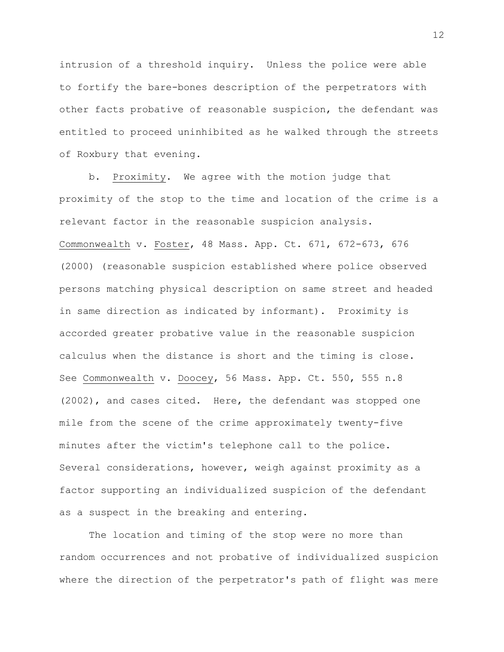intrusion of a threshold inquiry. Unless the police were able to fortify the bare-bones description of the perpetrators with other facts probative of reasonable suspicion, the defendant was entitled to proceed uninhibited as he walked through the streets of Roxbury that evening.

b. Proximity. We agree with the motion judge that proximity of the stop to the time and location of the crime is a relevant factor in the reasonable suspicion analysis. Commonwealth v. Foster, 48 Mass. App. Ct. 671, 672-673, 676 (2000) (reasonable suspicion established where police observed persons matching physical description on same street and headed in same direction as indicated by informant). Proximity is accorded greater probative value in the reasonable suspicion calculus when the distance is short and the timing is close. See Commonwealth v. Doocey, 56 Mass. App. Ct. 550, 555 n.8 (2002), and cases cited. Here, the defendant was stopped one mile from the scene of the crime approximately twenty-five minutes after the victim's telephone call to the police. Several considerations, however, weigh against proximity as a factor supporting an individualized suspicion of the defendant as a suspect in the breaking and entering.

The location and timing of the stop were no more than random occurrences and not probative of individualized suspicion where the direction of the perpetrator's path of flight was mere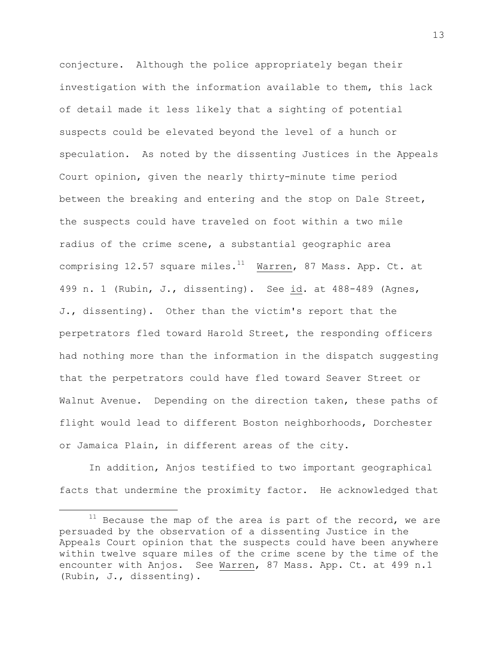conjecture. Although the police appropriately began their investigation with the information available to them, this lack of detail made it less likely that a sighting of potential suspects could be elevated beyond the level of a hunch or speculation. As noted by the dissenting Justices in the Appeals Court opinion, given the nearly thirty-minute time period between the breaking and entering and the stop on Dale Street, the suspects could have traveled on foot within a two mile radius of the crime scene, a substantial geographic area comprising 12.57 square miles. $11$  Warren, 87 Mass. App. Ct. at 499 n. 1 (Rubin, J., dissenting). See id. at 488-489 (Agnes, J., dissenting). Other than the victim's report that the perpetrators fled toward Harold Street, the responding officers had nothing more than the information in the dispatch suggesting that the perpetrators could have fled toward Seaver Street or Walnut Avenue. Depending on the direction taken, these paths of flight would lead to different Boston neighborhoods, Dorchester or Jamaica Plain, in different areas of the city.

In addition, Anjos testified to two important geographical facts that undermine the proximity factor. He acknowledged that

 $\overline{a}$ 

 $11$  Because the map of the area is part of the record, we are persuaded by the observation of a dissenting Justice in the Appeals Court opinion that the suspects could have been anywhere within twelve square miles of the crime scene by the time of the encounter with Anjos. See Warren, 87 Mass. App. Ct. at 499 n.1 (Rubin, J., dissenting).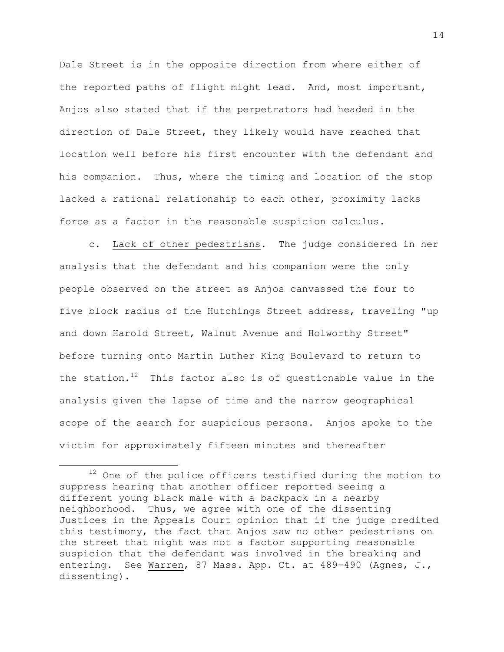Dale Street is in the opposite direction from where either of the reported paths of flight might lead. And, most important, Anjos also stated that if the perpetrators had headed in the direction of Dale Street, they likely would have reached that location well before his first encounter with the defendant and his companion. Thus, where the timing and location of the stop lacked a rational relationship to each other, proximity lacks force as a factor in the reasonable suspicion calculus.

c. Lack of other pedestrians. The judge considered in her analysis that the defendant and his companion were the only people observed on the street as Anjos canvassed the four to five block radius of the Hutchings Street address, traveling "up and down Harold Street, Walnut Avenue and Holworthy Street" before turning onto Martin Luther King Boulevard to return to the station. $12$  This factor also is of questionable value in the analysis given the lapse of time and the narrow geographical scope of the search for suspicious persons. Anjos spoke to the victim for approximately fifteen minutes and thereafter

 $\overline{\phantom{a}}$ 

<sup>&</sup>lt;sup>12</sup> One of the police officers testified during the motion to suppress hearing that another officer reported seeing a different young black male with a backpack in a nearby neighborhood. Thus, we agree with one of the dissenting Justices in the Appeals Court opinion that if the judge credited this testimony, the fact that Anjos saw no other pedestrians on the street that night was not a factor supporting reasonable suspicion that the defendant was involved in the breaking and entering. See Warren, 87 Mass. App. Ct. at 489-490 (Agnes, J., dissenting).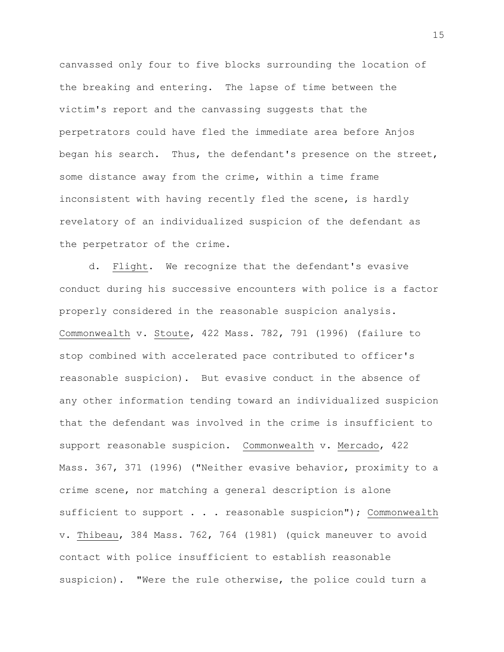canvassed only four to five blocks surrounding the location of the breaking and entering. The lapse of time between the victim's report and the canvassing suggests that the perpetrators could have fled the immediate area before Anjos began his search. Thus, the defendant's presence on the street, some distance away from the crime, within a time frame inconsistent with having recently fled the scene, is hardly revelatory of an individualized suspicion of the defendant as the perpetrator of the crime.

d. Flight. We recognize that the defendant's evasive conduct during his successive encounters with police is a factor properly considered in the reasonable suspicion analysis. Commonwealth v. Stoute, 422 Mass. 782, 791 (1996) (failure to stop combined with accelerated pace contributed to officer's reasonable suspicion). But evasive conduct in the absence of any other information tending toward an individualized suspicion that the defendant was involved in the crime is insufficient to support reasonable suspicion. Commonwealth v. Mercado, 422 Mass. 367, 371 (1996) ("Neither evasive behavior, proximity to a crime scene, nor matching a general description is alone sufficient to support . . . reasonable suspicion"); Commonwealth v. Thibeau, 384 Mass. 762, 764 (1981) (quick maneuver to avoid contact with police insufficient to establish reasonable suspicion). "Were the rule otherwise, the police could turn a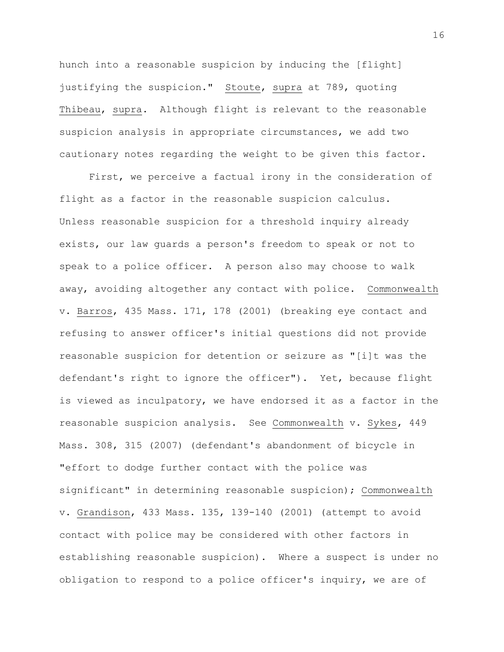hunch into a reasonable suspicion by inducing the [flight] justifying the suspicion." Stoute, supra at 789, quoting Thibeau, supra. Although flight is relevant to the reasonable suspicion analysis in appropriate circumstances, we add two cautionary notes regarding the weight to be given this factor.

First, we perceive a factual irony in the consideration of flight as a factor in the reasonable suspicion calculus. Unless reasonable suspicion for a threshold inquiry already exists, our law guards a person's freedom to speak or not to speak to a police officer. A person also may choose to walk away, avoiding altogether any contact with police. Commonwealth v. Barros, 435 Mass. 171, 178 (2001) (breaking eye contact and refusing to answer officer's initial questions did not provide reasonable suspicion for detention or seizure as "[i]t was the defendant's right to ignore the officer"). Yet, because flight is viewed as inculpatory, we have endorsed it as a factor in the reasonable suspicion analysis. See Commonwealth v. Sykes, 449 Mass. 308, 315 (2007) (defendant's abandonment of bicycle in "effort to dodge further contact with the police was significant" in determining reasonable suspicion); Commonwealth v. Grandison, 433 Mass. 135, 139-140 (2001) (attempt to avoid contact with police may be considered with other factors in establishing reasonable suspicion). Where a suspect is under no obligation to respond to a police officer's inquiry, we are of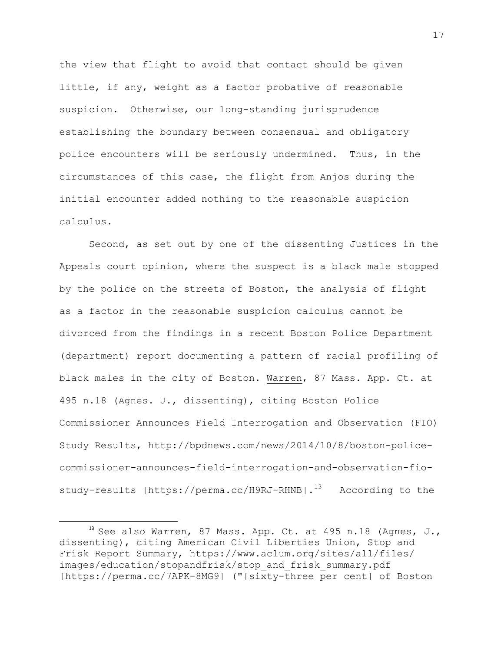the view that flight to avoid that contact should be given little, if any, weight as a factor probative of reasonable suspicion. Otherwise, our long-standing jurisprudence establishing the boundary between consensual and obligatory police encounters will be seriously undermined. Thus, in the circumstances of this case, the flight from Anjos during the initial encounter added nothing to the reasonable suspicion calculus.

Second, as set out by one of the dissenting Justices in the Appeals court opinion, where the suspect is a black male stopped by the police on the streets of Boston, the analysis of flight as a factor in the reasonable suspicion calculus cannot be divorced from the findings in a recent Boston Police Department (department) report documenting a pattern of racial profiling of black males in the city of Boston. Warren, 87 Mass. App. Ct. at 495 n.18 (Agnes. J., dissenting), citing Boston Police Commissioner Announces Field Interrogation and Observation (FIO) Study Results, http://bpdnews.com/news/2014/10/8/boston-policecommissioner-announces-field-interrogation-and-observation-fiostudy-results [https://perma.cc/H9RJ-RHNB].<sup>13</sup> According to the

l

 $^{\rm 13}$  See also Warren, 87 Mass. App. Ct. at 495 n.18 (Agnes, J., dissenting), citing American Civil Liberties Union, Stop and Frisk Report Summary, https://www.aclum.org/sites/all/files/ images/education/stopandfrisk/stop\_and\_frisk\_summary.pdf [https://perma.cc/7APK-8MG9] ("[sixty-three per cent] of Boston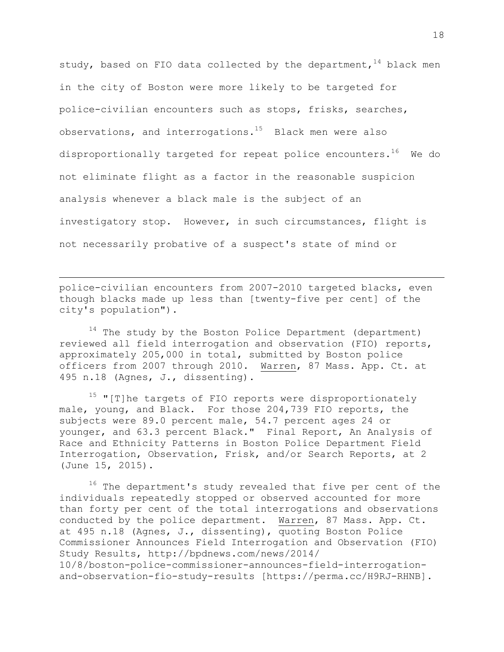study, based on FIO data collected by the department,  $^{14}$  black men in the city of Boston were more likely to be targeted for police-civilian encounters such as stops, frisks, searches, observations, and interrogations.<sup>15</sup> Black men were also disproportionally targeted for repeat police encounters.<sup>16</sup> We do not eliminate flight as a factor in the reasonable suspicion analysis whenever a black male is the subject of an investigatory stop. However, in such circumstances, flight is not necessarily probative of a suspect's state of mind or

police-civilian encounters from 2007-2010 targeted blacks, even though blacks made up less than [twenty-five per cent] of the city's population").

 $\overline{\phantom{a}}$ 

 $14$  The study by the Boston Police Department (department) reviewed all field interrogation and observation (FIO) reports, approximately 205,000 in total, submitted by Boston police officers from 2007 through 2010. Warren, 87 Mass. App. Ct. at 495 n.18 (Agnes, J., dissenting).

 $15$  "[T]he targets of FIO reports were disproportionately male, young, and Black. For those 204,739 FIO reports, the subjects were 89.0 percent male, 54.7 percent ages 24 or younger, and 63.3 percent Black." Final Report, An Analysis of Race and Ethnicity Patterns in Boston Police Department Field Interrogation, Observation, Frisk, and/or Search Reports, at 2 (June 15, 2015).

<sup>16</sup> The department's study revealed that five per cent of the individuals repeatedly stopped or observed accounted for more than forty per cent of the total interrogations and observations conducted by the police department. Warren, 87 Mass. App. Ct. at 495 n.18 (Agnes, J., dissenting), quoting Boston Police Commissioner Announces Field Interrogation and Observation (FIO) Study Results, http://bpdnews.com/news/2014/ 10/8/boston-police-commissioner-announces-field-interrogationand-observation-fio-study-results [https://perma.cc/H9RJ-RHNB].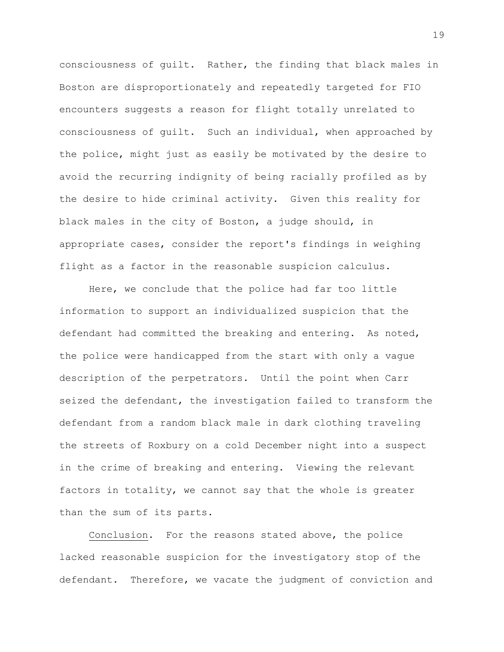consciousness of guilt. Rather, the finding that black males in Boston are disproportionately and repeatedly targeted for FIO encounters suggests a reason for flight totally unrelated to consciousness of guilt. Such an individual, when approached by the police, might just as easily be motivated by the desire to avoid the recurring indignity of being racially profiled as by the desire to hide criminal activity. Given this reality for black males in the city of Boston, a judge should, in appropriate cases, consider the report's findings in weighing flight as a factor in the reasonable suspicion calculus.

Here, we conclude that the police had far too little information to support an individualized suspicion that the defendant had committed the breaking and entering. As noted, the police were handicapped from the start with only a vague description of the perpetrators. Until the point when Carr seized the defendant, the investigation failed to transform the defendant from a random black male in dark clothing traveling the streets of Roxbury on a cold December night into a suspect in the crime of breaking and entering. Viewing the relevant factors in totality, we cannot say that the whole is greater than the sum of its parts.

Conclusion. For the reasons stated above, the police lacked reasonable suspicion for the investigatory stop of the defendant. Therefore, we vacate the judgment of conviction and